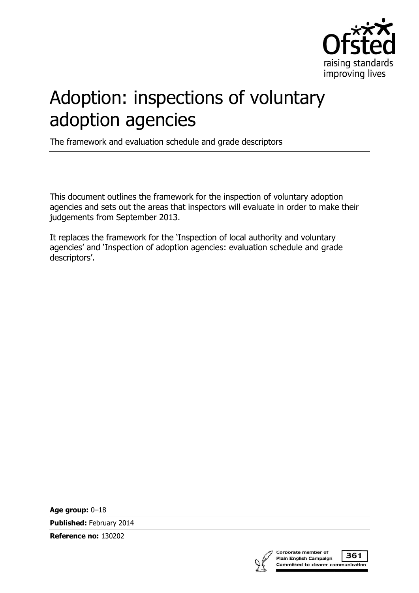

# Adoption: inspections of voluntary adoption agencies

The framework and evaluation schedule and grade descriptors

This document outlines the framework for the inspection of voluntary adoption agencies and sets out the areas that inspectors will evaluate in order to make their judgements from September 2013.

It replaces the framework for the '[Inspection of local authority and voluntary](http://www.ofsted.gov.uk/resources/120006)  [agencies](http://www.ofsted.gov.uk/resources/120006)' and '[Inspection of adoption agencies: evaluation schedule and grade](http://www.ofsted.gov.uk/resources/120005)  [descriptors](http://www.ofsted.gov.uk/resources/120005)'.

**Age group:** 0–18

**Published:** February 2014

**Reference no:** 130202



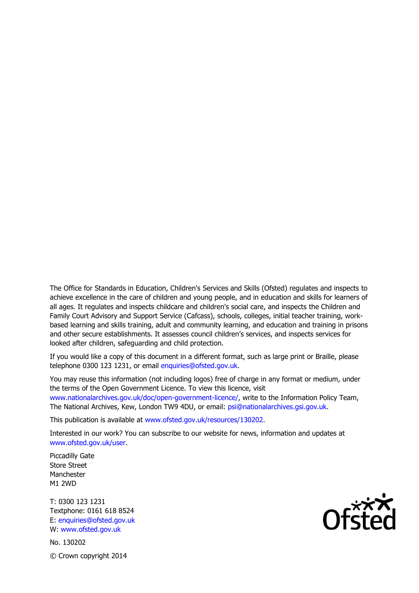The Office for Standards in Education, Children's Services and Skills (Ofsted) regulates and inspects to achieve excellence in the care of children and young people, and in education and skills for learners of all ages. It regulates and inspects childcare and children's social care, and inspects the Children and Family Court Advisory and Support Service (Cafcass), schools, colleges, initial teacher training, workbased learning and skills training, adult and community learning, and education and training in prisons and other secure establishments. It assesses council children's services, and inspects services for looked after children, safeguarding and child protection.

If you would like a copy of this document in a different format, such as large print or Braille, please telephone 0300 123 1231, or email enquiries@ofsted.gov.uk.

You may reuse this information (not including logos) free of charge in any format or medium, under the terms of the Open Government Licence. To view this licence, visit www.nationalarchives.gov.uk/doc/open-government-licence/, write to the Information Policy Team, The National Archives, Kew, London TW9 4DU, or email: psi@nationalarchives.gsi.gov.uk.

This publication is available at www.ofsted.gov.uk/resources/130202.

Interested in our work? You can subscribe to our website for news, information and updates at www.ofsted.gov.uk/user.

Piccadilly Gate Store Street Manchester M1 2WD

T: 0300 123 1231 Textphone: 0161 618 8524 E: enquiries@ofsted.gov.uk W: www.ofsted.gov.uk

No. 130202 © Crown copyright 2014

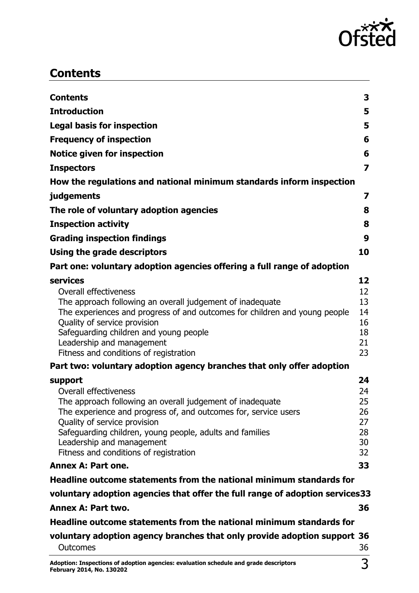

# <span id="page-2-0"></span>**Contents**

| Contents                                                                                                                                | 3                       |
|-----------------------------------------------------------------------------------------------------------------------------------------|-------------------------|
| <b>Introduction</b>                                                                                                                     | 5                       |
| <b>Legal basis for inspection</b>                                                                                                       | 5                       |
| <b>Frequency of inspection</b>                                                                                                          | 6                       |
| <b>Notice given for inspection</b>                                                                                                      | 6                       |
| <b>Inspectors</b>                                                                                                                       | $\overline{\mathbf{z}}$ |
| How the regulations and national minimum standards inform inspection                                                                    |                         |
| judgements                                                                                                                              | 7                       |
| The role of voluntary adoption agencies                                                                                                 | 8                       |
| <b>Inspection activity</b>                                                                                                              | 8                       |
| <b>Grading inspection findings</b>                                                                                                      | 9                       |
| Using the grade descriptors                                                                                                             | 10                      |
| Part one: voluntary adoption agencies offering a full range of adoption                                                                 |                         |
| services                                                                                                                                | 12                      |
| <b>Overall effectiveness</b>                                                                                                            | 12                      |
| The approach following an overall judgement of inadequate<br>The experiences and progress of and outcomes for children and young people | 13<br>14                |
| Quality of service provision                                                                                                            | 16                      |
| Safeguarding children and young people                                                                                                  | 18                      |
| Leadership and management                                                                                                               | 21                      |
| Fitness and conditions of registration                                                                                                  | 23                      |
| Part two: voluntary adoption agency branches that only offer adoption                                                                   |                         |
| support<br><b>Overall effectiveness</b>                                                                                                 | 24                      |
| The approach following an overall judgement of inadequate                                                                               | 24<br>25                |
| The experience and progress of, and outcomes for, service users                                                                         | 26                      |
| Quality of service provision                                                                                                            | 27                      |
| Safeguarding children, young people, adults and families                                                                                | 28                      |
| Leadership and management<br>Fitness and conditions of registration                                                                     | 30<br>32                |
| Annex A: Part one.                                                                                                                      | 33                      |
| Headline outcome statements from the national minimum standards for                                                                     |                         |
| voluntary adoption agencies that offer the full range of adoption services33                                                            |                         |
| Annex A: Part two.                                                                                                                      | 36                      |
| Headline outcome statements from the national minimum standards for                                                                     |                         |
| voluntary adoption agency branches that only provide adoption support 36                                                                |                         |
| Outcomes                                                                                                                                | 36                      |
|                                                                                                                                         |                         |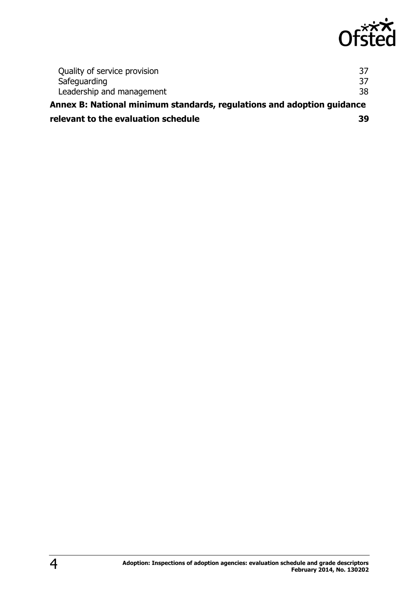

| relevant to the evaluation schedule                                    | 39 |  |
|------------------------------------------------------------------------|----|--|
| Annex B: National minimum standards, regulations and adoption guidance |    |  |
| Leadership and management                                              | 38 |  |
| Safeguarding                                                           | 37 |  |
| Quality of service provision                                           | 37 |  |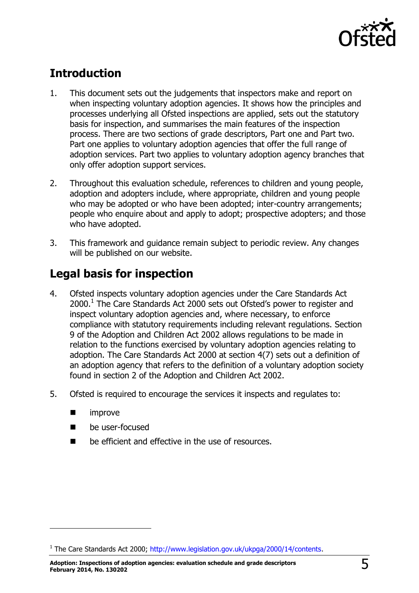

# <span id="page-4-0"></span>**Introduction**

- 1. This document sets out the judgements that inspectors make and report on when inspecting voluntary adoption agencies. It shows how the principles and processes underlying all Ofsted inspections are applied, sets out the statutory basis for inspection, and summarises the main features of the inspection process. There are two sections of grade descriptors, Part one and Part two. Part one applies to voluntary adoption agencies that offer the full range of adoption services. Part two applies to voluntary adoption agency branches that only offer adoption support services.
- 2. Throughout this evaluation schedule, references to children and young people, adoption and adopters include, where appropriate, children and young people who may be adopted or who have been adopted; inter-country arrangements; people who enquire about and apply to adopt; prospective adopters; and those who have adopted.
- 3. This framework and guidance remain subject to periodic review. Any changes will be published on our website.

# <span id="page-4-1"></span>**Legal basis for inspection**

- 4. Ofsted inspects voluntary adoption agencies under the Care Standards Act  $2000.<sup>1</sup>$  The Care Standards Act 2000 sets out Ofsted's power to register and inspect voluntary adoption agencies and, where necessary, to enforce compliance with statutory requirements including relevant regulations. Section 9 of the Adoption and Children Act 2002 allows regulations to be made in relation to the functions exercised by voluntary adoption agencies relating to adoption. The Care Standards Act 2000 at section 4(7) sets out a definition of an adoption agency that refers to the definition of a voluntary adoption society found in section 2 of the Adoption and Children Act 2002.
- 5. Ofsted is required to encourage the services it inspects and regulates to:
	- **n** improve

j

- **De user-focused**
- be efficient and effective in the use of resources.

<sup>&</sup>lt;sup>1</sup> The Care Standards Act 2000; [http://www.legislation.gov.uk/ukpga/2000/14/contents.](http://www.legislation.gov.uk/ukpga/2000/14/contents)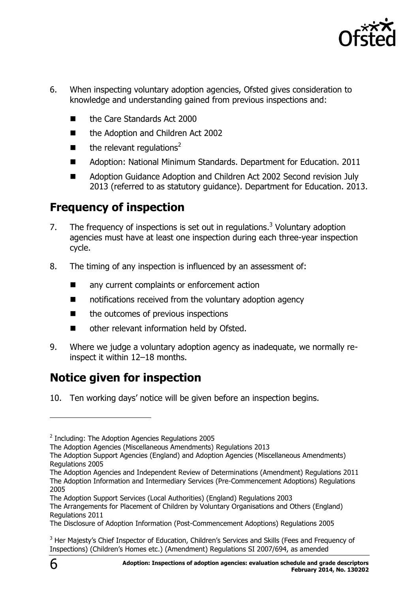

- 6. When inspecting voluntary adoption agencies, Ofsted gives consideration to knowledge and understanding gained from previous inspections and:
	- the Care Standards Act 2000
	- the Adoption and Children Act 2002
	- $\blacksquare$  the relevant regulations<sup>2</sup>
	- Adoption: National Minimum Standards. Department for Education. 2011
	- Adoption Guidance Adoption and Children Act 2002 Second revision July 2013 (referred to as statutory guidance). Department for Education. 2013.

# <span id="page-5-0"></span>**Frequency of inspection**

- 7. The frequency of inspections is set out in regulations.<sup>3</sup> Voluntary adoption agencies must have at least one inspection during each three-year inspection cycle.
- 8. The timing of any inspection is influenced by an assessment of:
	- any current complaints or enforcement action
	- notifications received from the voluntary adoption agency
	- $\blacksquare$  the outcomes of previous inspections
	- other relevant information held by Ofsted.
- 9. Where we judge a voluntary adoption agency as inadequate, we normally reinspect it within 12–18 months.

# <span id="page-5-1"></span>**Notice given for inspection**

10. Ten working days' notice will be given before an inspection begins.

The Adoption Agencies and Independent Review of Determinations (Amendment) Regulations 2011 The Adoption Information and Intermediary Services (Pre-Commencement Adoptions) Regulations 2005

 $\overline{a}$ 

 $2$  Including: The Adoption Agencies Regulations 2005

The Adoption Agencies (Miscellaneous Amendments) Regulations 2013

The Adoption Support Agencies (England) and Adoption Agencies (Miscellaneous Amendments) Regulations 2005

The Adoption Support Services (Local Authorities) (England) Regulations 2003

The Arrangements for Placement of Children by Voluntary Organisations and Others (England) Regulations 2011

The Disclosure of Adoption Information (Post-Commencement Adoptions) Regulations 2005

<sup>&</sup>lt;sup>3</sup> Her Majesty's Chief Inspector of Education, Children's Services and Skills (Fees and Frequency of Inspections) (Children's Homes etc.) (Amendment) Regulations SI 2007/694, as amended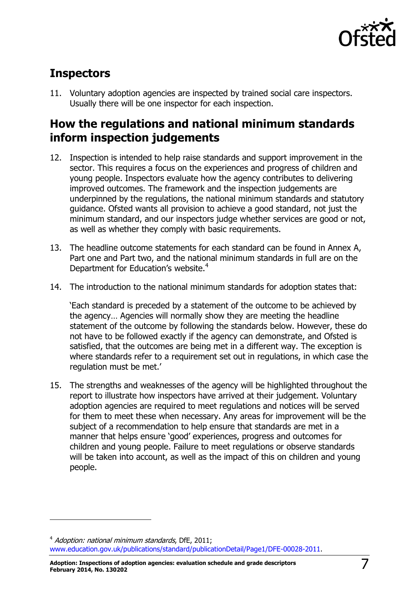

# <span id="page-6-0"></span>**Inspectors**

j

11. Voluntary adoption agencies are inspected by trained social care inspectors. Usually there will be one inspector for each inspection.

# <span id="page-6-1"></span>**How the regulations and national minimum standards inform inspection judgements**

- 12. Inspection is intended to help raise standards and support improvement in the sector. This requires a focus on the experiences and progress of children and young people. Inspectors evaluate how the agency contributes to delivering improved outcomes. The framework and the inspection judgements are underpinned by the regulations, the national minimum standards and statutory guidance. Ofsted wants all provision to achieve a good standard, not just the minimum standard, and our inspectors judge whether services are good or not, as well as whether they comply with basic requirements.
- 13. The headline outcome statements for each standard can be found in Annex A, Part one and Part two, and the national minimum standards in full are on the Department for Education's website.<sup>4</sup>
- 14. The introduction to the national minimum standards for adoption states that:

'Each standard is preceded by a statement of the outcome to be achieved by the agency… Agencies will normally show they are meeting the headline statement of the outcome by following the standards below. However, these do not have to be followed exactly if the agency can demonstrate, and Ofsted is satisfied, that the outcomes are being met in a different way. The exception is where standards refer to a requirement set out in regulations, in which case the regulation must be met.'

15. The strengths and weaknesses of the agency will be highlighted throughout the report to illustrate how inspectors have arrived at their judgement. Voluntary adoption agencies are required to meet regulations and notices will be served for them to meet these when necessary. Any areas for improvement will be the subject of a recommendation to help ensure that standards are met in a manner that helps ensure 'good' experiences, progress and outcomes for children and young people. Failure to meet regulations or observe standards will be taken into account, as well as the impact of this on children and young people.

<sup>&</sup>lt;sup>4</sup> Adoption: national minimum standards, DfE, 2011; [www.education.gov.uk/publications/standard/publicationDetail/Page1/DFE-00028-2011.](http://teams/sites/SocialCare/Project%20Libaries/www.education.gov.uk/publications/standard/publicationDetail/Page1/DFE-00028-2011)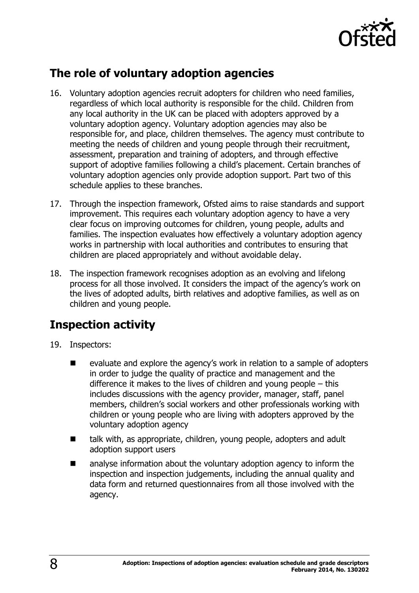

# <span id="page-7-0"></span>**The role of voluntary adoption agencies**

- 16. Voluntary adoption agencies recruit adopters for children who need families, regardless of which local authority is responsible for the child. Children from any local authority in the UK can be placed with adopters approved by a voluntary adoption agency. Voluntary adoption agencies may also be responsible for, and place, children themselves. The agency must contribute to meeting the needs of children and young people through their recruitment, assessment, preparation and training of adopters, and through effective support of adoptive families following a child's placement. Certain branches of voluntary adoption agencies only provide adoption support. Part two of this schedule applies to these branches.
- 17. Through the inspection framework, Ofsted aims to raise standards and support improvement. This requires each voluntary adoption agency to have a very clear focus on improving outcomes for children, young people, adults and families. The inspection evaluates how effectively a voluntary adoption agency works in partnership with local authorities and contributes to ensuring that children are placed appropriately and without avoidable delay.
- 18. The inspection framework recognises adoption as an evolving and lifelong process for all those involved. It considers the impact of the agency's work on the lives of adopted adults, birth relatives and adoptive families, as well as on children and young people.

# <span id="page-7-1"></span>**Inspection activity**

- 19. Inspectors:
	- evaluate and explore the agency's work in relation to a sample of adopters in order to judge the quality of practice and management and the difference it makes to the lives of children and young people – this includes discussions with the agency provider, manager, staff, panel members, children's social workers and other professionals working with children or young people who are living with adopters approved by the voluntary adoption agency
	- talk with, as appropriate, children, young people, adopters and adult adoption support users
	- analyse information about the voluntary adoption agency to inform the inspection and inspection judgements, including the annual quality and data form and returned questionnaires from all those involved with the agency.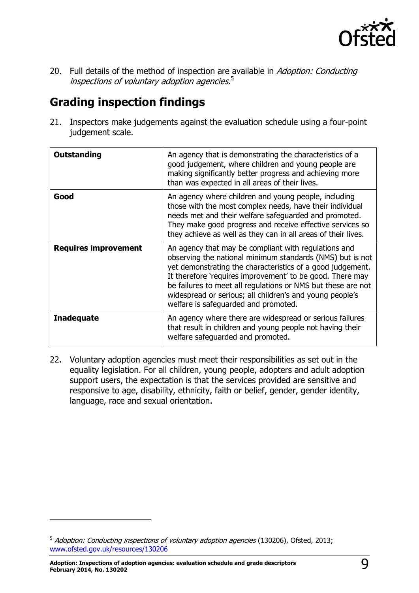

20. Full details of the method of inspection are available in Adoption: Conducting inspections of voluntary adoption agencies.<sup>5</sup>

# <span id="page-8-0"></span>**Grading inspection findings**

21. Inspectors make judgements against the evaluation schedule using a four-point judgement scale.

| Outstanding                 | An agency that is demonstrating the characteristics of a<br>good judgement, where children and young people are<br>making significantly better progress and achieving more<br>than was expected in all areas of their lives.                                                                                                                                                                                     |
|-----------------------------|------------------------------------------------------------------------------------------------------------------------------------------------------------------------------------------------------------------------------------------------------------------------------------------------------------------------------------------------------------------------------------------------------------------|
| Good                        | An agency where children and young people, including<br>those with the most complex needs, have their individual<br>needs met and their welfare safeguarded and promoted.<br>They make good progress and receive effective services so<br>they achieve as well as they can in all areas of their lives.                                                                                                          |
| <b>Requires improvement</b> | An agency that may be compliant with regulations and<br>observing the national minimum standards (NMS) but is not<br>yet demonstrating the characteristics of a good judgement.<br>It therefore 'requires improvement' to be good. There may<br>be failures to meet all regulations or NMS but these are not<br>widespread or serious; all children's and young people's<br>welfare is safeguarded and promoted. |
| <b>Inadequate</b>           | An agency where there are widespread or serious failures<br>that result in children and young people not having their<br>welfare safeguarded and promoted.                                                                                                                                                                                                                                                       |

<span id="page-8-1"></span>22. Voluntary adoption agencies must meet their responsibilities as set out in the equality legislation. For all children, young people, adopters and adult adoption support users, the expectation is that the services provided are sensitive and responsive to age, disability, ethnicity, faith or belief, gender, gender identity, language, race and sexual orientation.

j

<sup>&</sup>lt;sup>5</sup> Adoption: Conducting inspections of voluntary adoption agencies (130206), Ofsted, 2013; [www.ofsted.gov.uk/resources/130206](http://www.ofsted.gov.uk/resources/130206)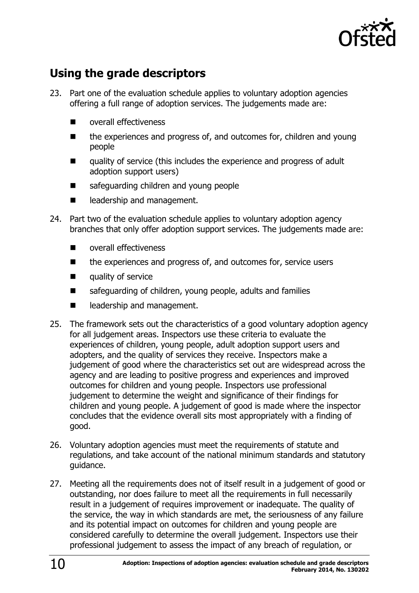

# **Using the grade descriptors**

- 23. Part one of the evaluation schedule applies to voluntary adoption agencies offering a full range of adoption services. The judgements made are:
	- overall effectiveness
	- the experiences and progress of, and outcomes for, children and young people
	- quality of service (this includes the experience and progress of adult adoption support users)
	- safeguarding children and young people
	- eadership and management.
- 24. Part two of the evaluation schedule applies to voluntary adoption agency branches that only offer adoption support services. The judgements made are:
	- **Number** overall effectiveness
	- $\blacksquare$  the experiences and progress of, and outcomes for, service users
	- **quality of service**
	- safeguarding of children, young people, adults and families
	- **EXECUTE:** leadership and management.
- 25. The framework sets out the characteristics of a good voluntary adoption agency for all judgement areas. Inspectors use these criteria to evaluate the experiences of children, young people, adult adoption support users and adopters, and the quality of services they receive. Inspectors make a judgement of good where the characteristics set out are widespread across the agency and are leading to positive progress and experiences and improved outcomes for children and young people. Inspectors use professional judgement to determine the weight and significance of their findings for children and young people. A judgement of good is made where the inspector concludes that the evidence overall sits most appropriately with a finding of good.
- 26. Voluntary adoption agencies must meet the requirements of statute and regulations, and take account of the national minimum standards and statutory guidance.
- 27. Meeting all the requirements does not of itself result in a judgement of good or outstanding, nor does failure to meet all the requirements in full necessarily result in a judgement of requires improvement or inadequate. The quality of the service, the way in which standards are met, the seriousness of any failure and its potential impact on outcomes for children and young people are considered carefully to determine the overall judgement. Inspectors use their professional judgement to assess the impact of any breach of regulation, or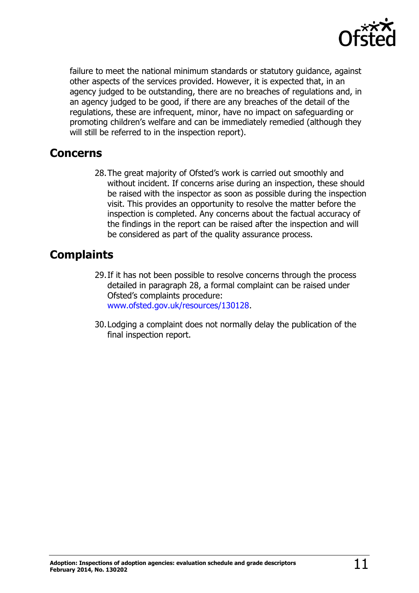

failure to meet the national minimum standards or statutory guidance, against other aspects of the services provided. However, it is expected that, in an agency judged to be outstanding, there are no breaches of regulations and, in an agency judged to be good, if there are any breaches of the detail of the regulations, these are infrequent, minor, have no impact on safeguarding or promoting children's welfare and can be immediately remedied (although they will still be referred to in the inspection report).

### **Concerns**

28.The great majority of Ofsted's work is carried out smoothly and without incident. If concerns arise during an inspection, these should be raised with the inspector as soon as possible during the inspection visit. This provides an opportunity to resolve the matter before the inspection is completed. Any concerns about the factual accuracy of the findings in the report can be raised after the inspection and will be considered as part of the quality assurance process.

# **Complaints**

- 29.If it has not been possible to resolve concerns through the process detailed in paragraph 28, a formal complaint can be raised under Ofsted's complaints procedure: [www.ofsted.gov.uk/resources/130128.](http://www.ofsted.gov.uk/resources/130128)
- 30.Lodging a complaint does not normally delay the publication of the final inspection report.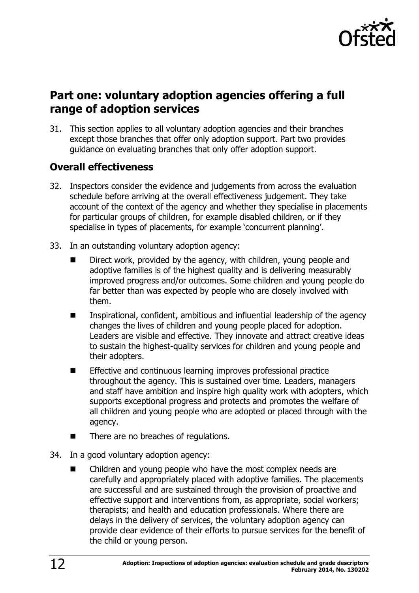

# <span id="page-11-0"></span>**Part one: voluntary adoption agencies offering a full range of adoption services**

31. This section applies to all voluntary adoption agencies and their branches except those branches that offer only adoption support. Part two provides guidance on evaluating branches that only offer adoption support.

### <span id="page-11-1"></span>**Overall effectiveness**

- 32. Inspectors consider the evidence and judgements from across the evaluation schedule before arriving at the overall effectiveness judgement. They take account of the context of the agency and whether they specialise in placements for particular groups of children, for example disabled children, or if they specialise in types of placements, for example 'concurrent planning'.
- 33. In an outstanding voluntary adoption agency:
	- Direct work, provided by the agency, with children, young people and adoptive families is of the highest quality and is delivering measurably improved progress and/or outcomes. Some children and young people do far better than was expected by people who are closely involved with them.
	- Inspirational, confident, ambitious and influential leadership of the agency changes the lives of children and young people placed for adoption. Leaders are visible and effective. They innovate and attract creative ideas to sustain the highest-quality services for children and young people and their adopters.
	- **Effective and continuous learning improves professional practice** throughout the agency. This is sustained over time. Leaders, managers and staff have ambition and inspire high quality work with adopters, which supports exceptional progress and protects and promotes the welfare of all children and young people who are adopted or placed through with the agency.
	- There are no breaches of regulations.
- 34. In a good voluntary adoption agency:
	- Children and young people who have the most complex needs are carefully and appropriately placed with adoptive families. The placements are successful and are sustained through the provision of proactive and effective support and interventions from, as appropriate, social workers; therapists; and health and education professionals. Where there are delays in the delivery of services, the voluntary adoption agency can provide clear evidence of their efforts to pursue services for the benefit of the child or young person.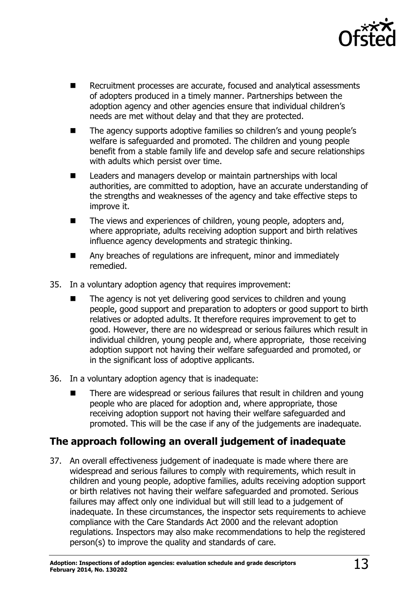

- Recruitment processes are accurate, focused and analytical assessments of adopters produced in a timely manner. Partnerships between the adoption agency and other agencies ensure that individual children's needs are met without delay and that they are protected.
- The agency supports adoptive families so children's and young people's welfare is safeguarded and promoted. The children and young people benefit from a stable family life and develop safe and secure relationships with adults which persist over time.
- Leaders and managers develop or maintain partnerships with local authorities, are committed to adoption, have an accurate understanding of the strengths and weaknesses of the agency and take effective steps to improve it.
- The views and experiences of children, young people, adopters and, where appropriate, adults receiving adoption support and birth relatives influence agency developments and strategic thinking.
- Any breaches of regulations are infrequent, minor and immediately remedied.
- 35. In a voluntary adoption agency that requires improvement:
	- The agency is not yet delivering good services to children and young people, good support and preparation to adopters or good support to birth relatives or adopted adults. It therefore requires improvement to get to good. However, there are no widespread or serious failures which result in individual children, young people and, where appropriate, those receiving adoption support not having their welfare safeguarded and promoted, or in the significant loss of adoptive applicants.
- 36. In a voluntary adoption agency that is inadequate:
	- There are widespread or serious failures that result in children and young people who are placed for adoption and, where appropriate, those receiving adoption support not having their welfare safeguarded and promoted. This will be the case if any of the judgements are inadequate.

### <span id="page-12-0"></span>**The approach following an overall judgement of inadequate**

37. An overall effectiveness judgement of inadequate is made where there are widespread and serious failures to comply with requirements, which result in children and young people, adoptive families, adults receiving adoption support or birth relatives not having their welfare safeguarded and promoted. Serious failures may affect only one individual but will still lead to a judgement of inadequate. In these circumstances, the inspector sets requirements to achieve compliance with the Care Standards Act 2000 and the relevant adoption regulations. Inspectors may also make recommendations to help the registered person(s) to improve the quality and standards of care.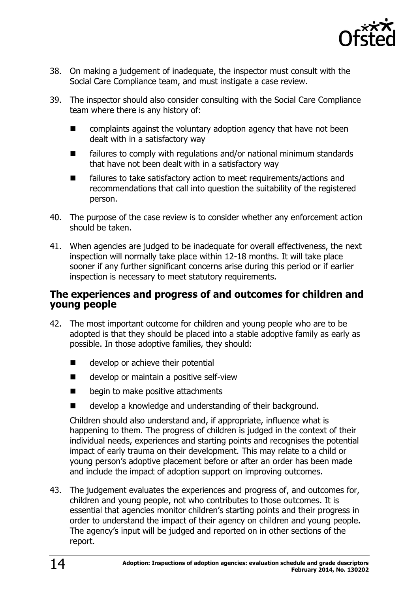

- 38. On making a judgement of inadequate, the inspector must consult with the Social Care Compliance team, and must instigate a case review.
- 39. The inspector should also consider consulting with the Social Care Compliance team where there is any history of:
	- complaints against the voluntary adoption agency that have not been dealt with in a satisfactory way
	- failures to comply with regulations and/or national minimum standards that have not been dealt with in a satisfactory way
	- failures to take satisfactory action to meet requirements/actions and recommendations that call into question the suitability of the registered person.
- 40. The purpose of the case review is to consider whether any enforcement action should be taken.
- 41. When agencies are judged to be inadequate for overall effectiveness, the next inspection will normally take place within 12-18 months. It will take place sooner if any further significant concerns arise during this period or if earlier inspection is necessary to meet statutory requirements.

### <span id="page-13-0"></span>**The experiences and progress of and outcomes for children and young people**

- 42. The most important outcome for children and young people who are to be adopted is that they should be placed into a stable adoptive family as early as possible. In those adoptive families, they should:
	- develop or achieve their potential
	- develop or maintain a positive self-view
	- begin to make positive attachments
	- develop a knowledge and understanding of their background.

Children should also understand and, if appropriate, influence what is happening to them. The progress of children is judged in the context of their individual needs, experiences and starting points and recognises the potential impact of early trauma on their development. This may relate to a child or young person's adoptive placement before or after an order has been made and include the impact of adoption support on improving outcomes.

43. The judgement evaluates the experiences and progress of, and outcomes for, children and young people, not who contributes to those outcomes. It is essential that agencies monitor children's starting points and their progress in order to understand the impact of their agency on children and young people. The agency's input will be judged and reported on in other sections of the report.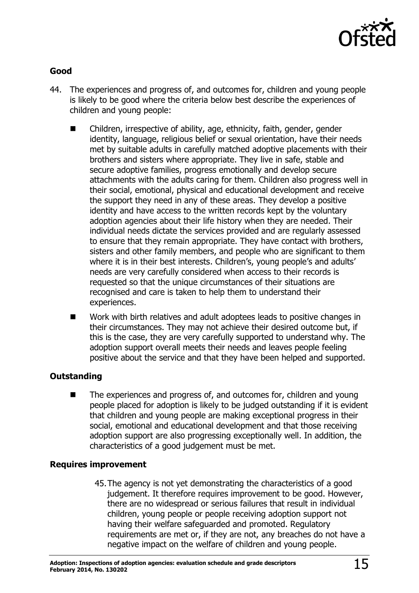

### **Good**

- 44. The experiences and progress of, and outcomes for, children and young people is likely to be good where the criteria below best describe the experiences of children and young people:
	- Children, irrespective of ability, age, ethnicity, faith, gender, gender identity, language, religious belief or sexual orientation, have their needs met by suitable adults in carefully matched adoptive placements with their brothers and sisters where appropriate. They live in safe, stable and secure adoptive families, progress emotionally and develop secure attachments with the adults caring for them. Children also progress well in their social, emotional, physical and educational development and receive the support they need in any of these areas. They develop a positive identity and have access to the written records kept by the voluntary adoption agencies about their life history when they are needed. Their individual needs dictate the services provided and are regularly assessed to ensure that they remain appropriate. They have contact with brothers, sisters and other family members, and people who are significant to them where it is in their best interests. Children's, young people's and adults' needs are very carefully considered when access to their records is requested so that the unique circumstances of their situations are recognised and care is taken to help them to understand their experiences.
	- Work with birth relatives and adult adoptees leads to positive changes in their circumstances. They may not achieve their desired outcome but, if this is the case, they are very carefully supported to understand why. The adoption support overall meets their needs and leaves people feeling positive about the service and that they have been helped and supported.

### **Outstanding**

 $\blacksquare$  The experiences and progress of, and outcomes for, children and young people placed for adoption is likely to be judged outstanding if it is evident that children and young people are making exceptional progress in their social, emotional and educational development and that those receiving adoption support are also progressing exceptionally well. In addition, the characteristics of a good judgement must be met.

### **Requires improvement**

45.The agency is not yet demonstrating the characteristics of a good judgement. It therefore requires improvement to be good. However, there are no widespread or serious failures that result in individual children, young people or people receiving adoption support not having their welfare safeguarded and promoted. Regulatory requirements are met or, if they are not, any breaches do not have a negative impact on the welfare of children and young people.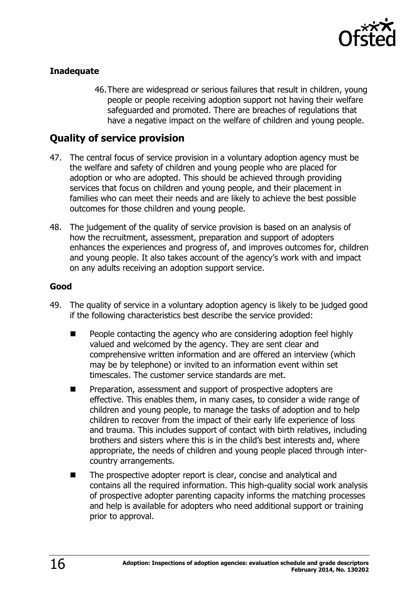

### **Inadequate**

46.There are widespread or serious failures that result in children, young people or people receiving adoption support not having their welfare safeguarded and promoted. There are breaches of regulations that have a negative impact on the welfare of children and young people.

### <span id="page-15-0"></span>**Quality of service provision**

- 47. The central focus of service provision in a voluntary adoption agency must be the welfare and safety of children and young people who are placed for adoption or who are adopted. This should be achieved through providing services that focus on children and young people, and their placement in families who can meet their needs and are likely to achieve the best possible outcomes for those children and young people.
- 48. The judgement of the quality of service provision is based on an analysis of how the recruitment, assessment, preparation and support of adopters enhances the experiences and progress of, and improves outcomes for, children and young people. It also takes account of the agency's work with and impact on any adults receiving an adoption support service.

### **Good**

- 49. The quality of service in a voluntary adoption agency is likely to be judged good if the following characteristics best describe the service provided:
	- People contacting the agency who are considering adoption feel highly valued and welcomed by the agency. They are sent clear and comprehensive written information and are offered an interview (which may be by telephone) or invited to an information event within set timescales. The customer service standards are met.
	- Preparation, assessment and support of prospective adopters are effective. This enables them, in many cases, to consider a wide range of children and young people, to manage the tasks of adoption and to help children to recover from the impact of their early life experience of loss and trauma. This includes support of contact with birth relatives, including brothers and sisters where this is in the child's best interests and, where appropriate, the needs of children and young people placed through intercountry arrangements.
	- The prospective adopter report is clear, concise and analytical and contains all the required information. This high-quality social work analysis of prospective adopter parenting capacity informs the matching processes and help is available for adopters who need additional support or training prior to approval.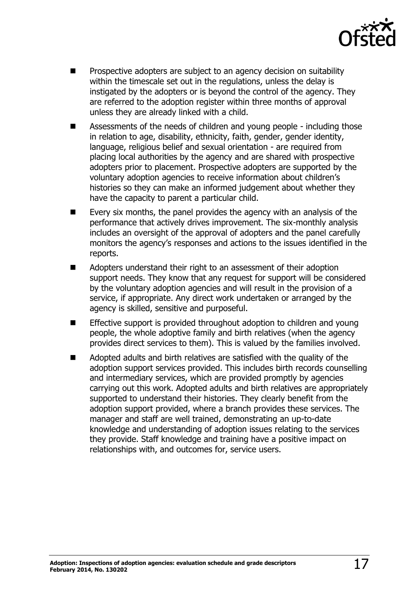

- Prospective adopters are subject to an agency decision on suitability within the timescale set out in the regulations, unless the delay is instigated by the adopters or is beyond the control of the agency. They are referred to the adoption register within three months of approval unless they are already linked with a child.
- Assessments of the needs of children and young people including those in relation to age, disability, ethnicity, faith, gender, gender identity, language, religious belief and sexual orientation - are required from placing local authorities by the agency and are shared with prospective adopters prior to placement. Prospective adopters are supported by the voluntary adoption agencies to receive information about children's histories so they can make an informed judgement about whether they have the capacity to parent a particular child.
- $\blacksquare$  Every six months, the panel provides the agency with an analysis of the performance that actively drives improvement. The six-monthly analysis includes an oversight of the approval of adopters and the panel carefully monitors the agency's responses and actions to the issues identified in the reports.
- Adopters understand their right to an assessment of their adoption support needs. They know that any request for support will be considered by the voluntary adoption agencies and will result in the provision of a service, if appropriate. Any direct work undertaken or arranged by the agency is skilled, sensitive and purposeful.
- Effective support is provided throughout adoption to children and young people, the whole adoptive family and birth relatives (when the agency provides direct services to them). This is valued by the families involved.
- Adopted adults and birth relatives are satisfied with the quality of the adoption support services provided. This includes birth records counselling and intermediary services, which are provided promptly by agencies carrying out this work. Adopted adults and birth relatives are appropriately supported to understand their histories. They clearly benefit from the adoption support provided, where a branch provides these services. The manager and staff are well trained, demonstrating an up-to-date knowledge and understanding of adoption issues relating to the services they provide. Staff knowledge and training have a positive impact on relationships with, and outcomes for, service users.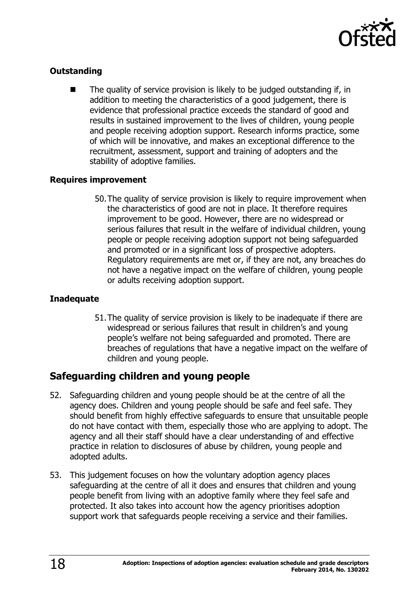

### **Outstanding**

 The quality of service provision is likely to be judged outstanding if, in addition to meeting the characteristics of a good judgement, there is evidence that professional practice exceeds the standard of good and results in sustained improvement to the lives of children, young people and people receiving adoption support. Research informs practice, some of which will be innovative, and makes an exceptional difference to the recruitment, assessment, support and training of adopters and the stability of adoptive families.

### **Requires improvement**

50.The quality of service provision is likely to require improvement when the characteristics of good are not in place. It therefore requires improvement to be good. However, there are no widespread or serious failures that result in the welfare of individual children, young people or people receiving adoption support not being safeguarded and promoted or in a significant loss of prospective adopters. Regulatory requirements are met or, if they are not, any breaches do not have a negative impact on the welfare of children, young people or adults receiving adoption support.

### **Inadequate**

51.The quality of service provision is likely to be inadequate if there are widespread or serious failures that result in children's and young people's welfare not being safeguarded and promoted. There are breaches of regulations that have a negative impact on the welfare of children and young people.

### <span id="page-17-0"></span>**Safeguarding children and young people**

- 52. Safeguarding children and young people should be at the centre of all the agency does. Children and young people should be safe and feel safe. They should benefit from highly effective safeguards to ensure that unsuitable people do not have contact with them, especially those who are applying to adopt. The agency and all their staff should have a clear understanding of and effective practice in relation to disclosures of abuse by children, young people and adopted adults.
- 53. This judgement focuses on how the voluntary adoption agency places safeguarding at the centre of all it does and ensures that children and young people benefit from living with an adoptive family where they feel safe and protected. It also takes into account how the agency prioritises adoption support work that safeguards people receiving a service and their families.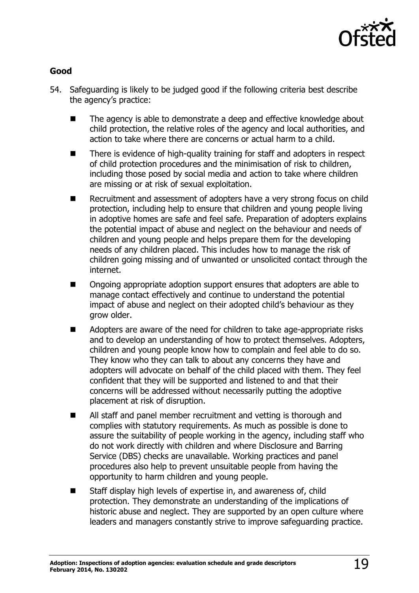

### **Good**

- 54. Safeguarding is likely to be judged good if the following criteria best describe the agency's practice:
	- The agency is able to demonstrate a deep and effective knowledge about child protection, the relative roles of the agency and local authorities, and action to take where there are concerns or actual harm to a child.
	- There is evidence of high-quality training for staff and adopters in respect of child protection procedures and the minimisation of risk to children, including those posed by social media and action to take where children are missing or at risk of sexual exploitation.
	- Recruitment and assessment of adopters have a very strong focus on child protection, including help to ensure that children and young people living in adoptive homes are safe and feel safe. Preparation of adopters explains the potential impact of abuse and neglect on the behaviour and needs of children and young people and helps prepare them for the developing needs of any children placed. This includes how to manage the risk of children going missing and of unwanted or unsolicited contact through the internet.
	- Ongoing appropriate adoption support ensures that adopters are able to manage contact effectively and continue to understand the potential impact of abuse and neglect on their adopted child's behaviour as they grow older.
	- Adopters are aware of the need for children to take age-appropriate risks and to develop an understanding of how to protect themselves. Adopters, children and young people know how to complain and feel able to do so. They know who they can talk to about any concerns they have and adopters will advocate on behalf of the child placed with them. They feel confident that they will be supported and listened to and that their concerns will be addressed without necessarily putting the adoptive placement at risk of disruption.
	- All staff and panel member recruitment and vetting is thorough and complies with statutory requirements. As much as possible is done to assure the suitability of people working in the agency, including staff who do not work directly with children and where Disclosure and Barring Service (DBS) checks are unavailable. Working practices and panel procedures also help to prevent unsuitable people from having the opportunity to harm children and young people.
	- Staff display high levels of expertise in, and awareness of, child protection. They demonstrate an understanding of the implications of historic abuse and neglect. They are supported by an open culture where leaders and managers constantly strive to improve safeguarding practice.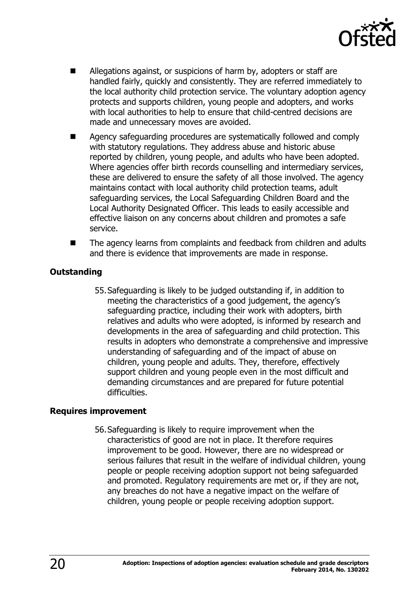

- Allegations against, or suspicions of harm by, adopters or staff are handled fairly, quickly and consistently. They are referred immediately to the local authority child protection service. The voluntary adoption agency protects and supports children, young people and adopters, and works with local authorities to help to ensure that child-centred decisions are made and unnecessary moves are avoided.
- Agency safeguarding procedures are systematically followed and comply with statutory regulations. They address abuse and historic abuse reported by children, young people, and adults who have been adopted. Where agencies offer birth records counselling and intermediary services, these are delivered to ensure the safety of all those involved. The agency maintains contact with local authority child protection teams, adult safeguarding services, the Local Safeguarding Children Board and the Local Authority Designated Officer. This leads to easily accessible and effective liaison on any concerns about children and promotes a safe service.
- The agency learns from complaints and feedback from children and adults and there is evidence that improvements are made in response.

### **Outstanding**

55.Safeguarding is likely to be judged outstanding if, in addition to meeting the characteristics of a good judgement, the agency's safeguarding practice, including their work with adopters, birth relatives and adults who were adopted, is informed by research and developments in the area of safeguarding and child protection. This results in adopters who demonstrate a comprehensive and impressive understanding of safeguarding and of the impact of abuse on children, young people and adults. They, therefore, effectively support children and young people even in the most difficult and demanding circumstances and are prepared for future potential difficulties.

### **Requires improvement**

56.Safeguarding is likely to require improvement when the characteristics of good are not in place. It therefore requires improvement to be good. However, there are no widespread or serious failures that result in the welfare of individual children, young people or people receiving adoption support not being safeguarded and promoted. Regulatory requirements are met or, if they are not, any breaches do not have a negative impact on the welfare of children, young people or people receiving adoption support.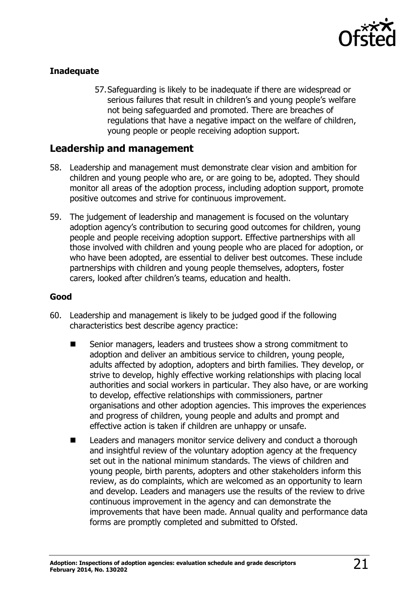

### **Inadequate**

57.Safeguarding is likely to be inadequate if there are widespread or serious failures that result in children's and young people's welfare not being safeguarded and promoted. There are breaches of regulations that have a negative impact on the welfare of children, young people or people receiving adoption support.

### <span id="page-20-0"></span>**Leadership and management**

- 58. Leadership and management must demonstrate clear vision and ambition for children and young people who are, or are going to be, adopted. They should monitor all areas of the adoption process, including adoption support, promote positive outcomes and strive for continuous improvement.
- 59. The judgement of leadership and management is focused on the voluntary adoption agency's contribution to securing good outcomes for children, young people and people receiving adoption support. Effective partnerships with all those involved with children and young people who are placed for adoption, or who have been adopted, are essential to deliver best outcomes. These include partnerships with children and young people themselves, adopters, foster carers, looked after children's teams, education and health.

### **Good**

- 60. Leadership and management is likely to be judged good if the following characteristics best describe agency practice:
	- Senior managers, leaders and trustees show a strong commitment to adoption and deliver an ambitious service to children, young people, adults affected by adoption, adopters and birth families. They develop, or strive to develop, highly effective working relationships with placing local authorities and social workers in particular. They also have, or are working to develop, effective relationships with commissioners, partner organisations and other adoption agencies. This improves the experiences and progress of children, young people and adults and prompt and effective action is taken if children are unhappy or unsafe.
	- Leaders and managers monitor service delivery and conduct a thorough and insightful review of the voluntary adoption agency at the frequency set out in the national minimum standards. The views of children and young people, birth parents, adopters and other stakeholders inform this review, as do complaints, which are welcomed as an opportunity to learn and develop. Leaders and managers use the results of the review to drive continuous improvement in the agency and can demonstrate the improvements that have been made. Annual quality and performance data forms are promptly completed and submitted to Ofsted.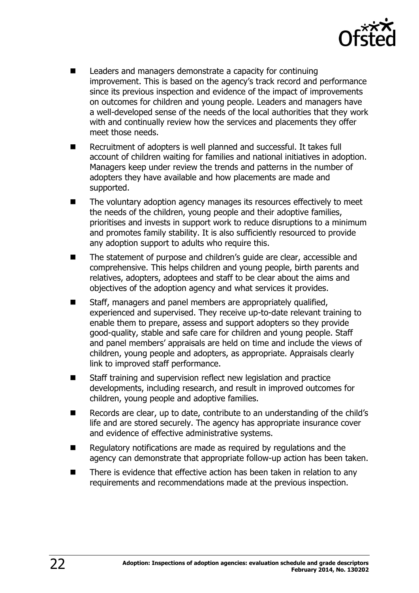

- **Leaders and managers demonstrate a capacity for continuing** improvement. This is based on the agency's track record and performance since its previous inspection and evidence of the impact of improvements on outcomes for children and young people. Leaders and managers have a well-developed sense of the needs of the local authorities that they work with and continually review how the services and placements they offer meet those needs.
- Recruitment of adopters is well planned and successful. It takes full account of children waiting for families and national initiatives in adoption. Managers keep under review the trends and patterns in the number of adopters they have available and how placements are made and supported.
- The voluntary adoption agency manages its resources effectively to meet the needs of the children, young people and their adoptive families, prioritises and invests in support work to reduce disruptions to a minimum and promotes family stability. It is also sufficiently resourced to provide any adoption support to adults who require this.
- The statement of purpose and children's guide are clear, accessible and comprehensive. This helps children and young people, birth parents and relatives, adopters, adoptees and staff to be clear about the aims and objectives of the adoption agency and what services it provides.
- Staff, managers and panel members are appropriately qualified, experienced and supervised. They receive up-to-date relevant training to enable them to prepare, assess and support adopters so they provide good-quality, stable and safe care for children and young people. Staff and panel members' appraisals are held on time and include the views of children, young people and adopters, as appropriate. Appraisals clearly link to improved staff performance.
- Staff training and supervision reflect new legislation and practice developments, including research, and result in improved outcomes for children, young people and adoptive families.
- Records are clear, up to date, contribute to an understanding of the child's life and are stored securely. The agency has appropriate insurance cover and evidence of effective administrative systems.
- Regulatory notifications are made as required by regulations and the agency can demonstrate that appropriate follow-up action has been taken.
- There is evidence that effective action has been taken in relation to any requirements and recommendations made at the previous inspection.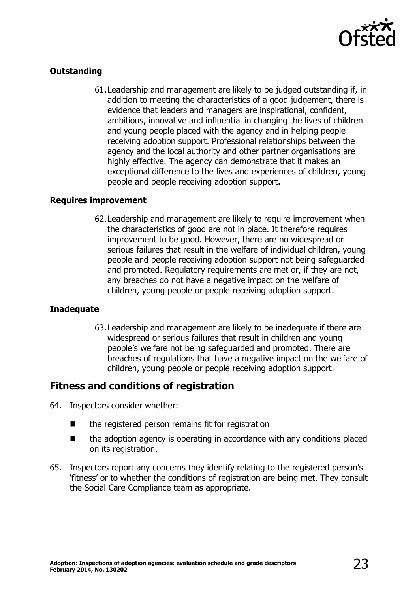

### **Outstanding**

61.Leadership and management are likely to be judged outstanding if, in addition to meeting the characteristics of a good judgement, there is evidence that leaders and managers are inspirational, confident, ambitious, innovative and influential in changing the lives of children and young people placed with the agency and in helping people receiving adoption support. Professional relationships between the agency and the local authority and other partner organisations are highly effective. The agency can demonstrate that it makes an exceptional difference to the lives and experiences of children, young people and people receiving adoption support.

### **Requires improvement**

62.Leadership and management are likely to require improvement when the characteristics of good are not in place. It therefore requires improvement to be good. However, there are no widespread or serious failures that result in the welfare of individual children, young people and people receiving adoption support not being safeguarded and promoted. Regulatory requirements are met or, if they are not, any breaches do not have a negative impact on the welfare of children, young people or people receiving adoption support.

### **Inadequate**

63.Leadership and management are likely to be inadequate if there are widespread or serious failures that result in children and young people's welfare not being safeguarded and promoted. There are breaches of regulations that have a negative impact on the welfare of children, young people or people receiving adoption support.

### <span id="page-22-0"></span>**Fitness and conditions of registration**

- 64. Inspectors consider whether:
	- the registered person remains fit for registration
	- $\blacksquare$  the adoption agency is operating in accordance with any conditions placed on its registration.
- <span id="page-22-1"></span>65. Inspectors report any concerns they identify relating to the registered person's 'fitness' or to whether the conditions of registration are being met. They consult the Social Care Compliance team as appropriate.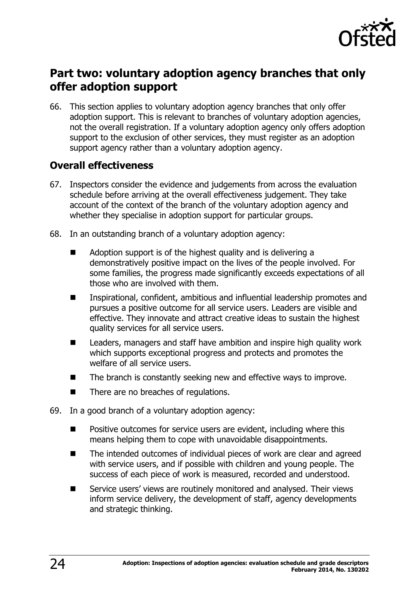

# **Part two: voluntary adoption agency branches that only offer adoption support**

66. This section applies to voluntary adoption agency branches that only offer adoption support. This is relevant to branches of voluntary adoption agencies, not the overall registration. If a voluntary adoption agency only offers adoption support to the exclusion of other services, they must register as an adoption support agency rather than a voluntary adoption agency.

### <span id="page-23-0"></span>**Overall effectiveness**

- 67. Inspectors consider the evidence and judgements from across the evaluation schedule before arriving at the overall effectiveness judgement. They take account of the context of the branch of the voluntary adoption agency and whether they specialise in adoption support for particular groups.
- 68. In an outstanding branch of a voluntary adoption agency:
	- Adoption support is of the highest quality and is delivering a demonstratively positive impact on the lives of the people involved. For some families, the progress made significantly exceeds expectations of all those who are involved with them.
	- Inspirational, confident, ambitious and influential leadership promotes and pursues a positive outcome for all service users. Leaders are visible and effective. They innovate and attract creative ideas to sustain the highest quality services for all service users.
	- Leaders, managers and staff have ambition and inspire high quality work which supports exceptional progress and protects and promotes the welfare of all service users.
	- $\blacksquare$  The branch is constantly seeking new and effective ways to improve.
	- There are no breaches of regulations.
- 69. In a good branch of a voluntary adoption agency:
	- Positive outcomes for service users are evident, including where this means helping them to cope with unavoidable disappointments.
	- The intended outcomes of individual pieces of work are clear and agreed with service users, and if possible with children and young people. The success of each piece of work is measured, recorded and understood.
	- Service users' views are routinely monitored and analysed. Their views inform service delivery, the development of staff, agency developments and strategic thinking.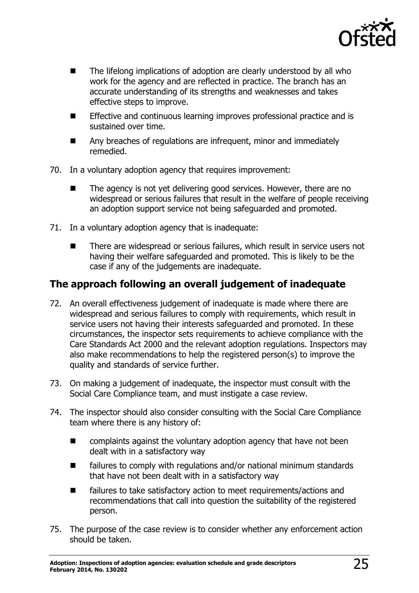

- The lifelong implications of adoption are clearly understood by all who work for the agency and are reflected in practice. The branch has an accurate understanding of its strengths and weaknesses and takes effective steps to improve.
- Effective and continuous learning improves professional practice and is sustained over time.
- Any breaches of regulations are infrequent, minor and immediately remedied.
- 70. In a voluntary adoption agency that requires improvement:
	- $\blacksquare$  The agency is not yet delivering good services. However, there are no widespread or serious failures that result in the welfare of people receiving an adoption support service not being safeguarded and promoted.
- 71. In a voluntary adoption agency that is inadequate:
	- There are widespread or serious failures, which result in service users not having their welfare safeguarded and promoted. This is likely to be the case if any of the judgements are inadequate.

### <span id="page-24-0"></span>**The approach following an overall judgement of inadequate**

- 72. An overall effectiveness judgement of inadequate is made where there are widespread and serious failures to comply with requirements, which result in service users not having their interests safeguarded and promoted. In these circumstances, the inspector sets requirements to achieve compliance with the Care Standards Act 2000 and the relevant adoption regulations. Inspectors may also make recommendations to help the registered person(s) to improve the quality and standards of service further.
- 73. On making a judgement of inadequate, the inspector must consult with the Social Care Compliance team, and must instigate a case review.
- 74. The inspector should also consider consulting with the Social Care Compliance team where there is any history of:
	- **E** complaints against the voluntary adoption agency that have not been dealt with in a satisfactory way
	- failures to comply with regulations and/or national minimum standards that have not been dealt with in a satisfactory way
	- failures to take satisfactory action to meet requirements/actions and recommendations that call into question the suitability of the registered person.
- 75. The purpose of the case review is to consider whether any enforcement action should be taken.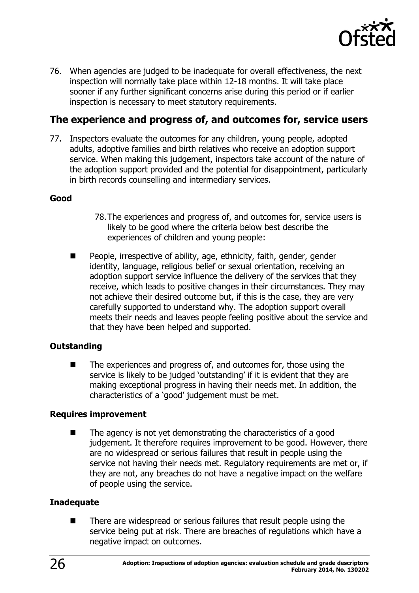

76. When agencies are judged to be inadequate for overall effectiveness, the next inspection will normally take place within 12-18 months. It will take place sooner if any further significant concerns arise during this period or if earlier inspection is necessary to meet statutory requirements.

### <span id="page-25-0"></span>**The experience and progress of, and outcomes for, service users**

77. Inspectors evaluate the outcomes for any children, young people, adopted adults, adoptive families and birth relatives who receive an adoption support service. When making this judgement, inspectors take account of the nature of the adoption support provided and the potential for disappointment, particularly in birth records counselling and intermediary services.

### **Good**

- 78.The experiences and progress of, and outcomes for, service users is likely to be good where the criteria below best describe the experiences of children and young people:
- **People, irrespective of ability, age, ethnicity, faith, gender, gender** identity, language, religious belief or sexual orientation, receiving an adoption support service influence the delivery of the services that they receive, which leads to positive changes in their circumstances. They may not achieve their desired outcome but, if this is the case, they are very carefully supported to understand why. The adoption support overall meets their needs and leaves people feeling positive about the service and that they have been helped and supported.

### **Outstanding**

 The experiences and progress of, and outcomes for, those using the service is likely to be judged 'outstanding' if it is evident that they are making exceptional progress in having their needs met. In addition, the characteristics of a 'good' judgement must be met.

### **Requires improvement**

 The agency is not yet demonstrating the characteristics of a good judgement. It therefore requires improvement to be good. However, there are no widespread or serious failures that result in people using the service not having their needs met. Regulatory requirements are met or, if they are not, any breaches do not have a negative impact on the welfare of people using the service.

### **Inadequate**

■ There are widespread or serious failures that result people using the service being put at risk. There are breaches of regulations which have a negative impact on outcomes.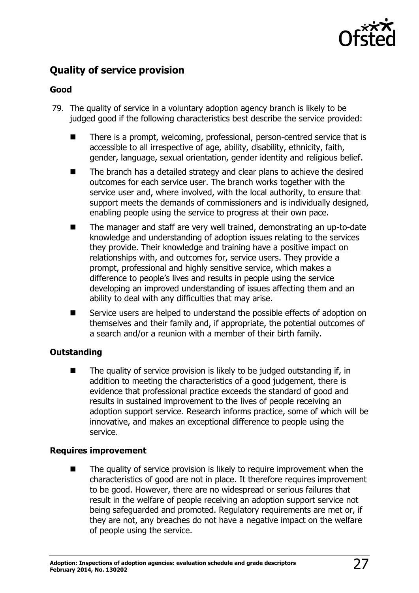

### <span id="page-26-0"></span>**Quality of service provision**

### **Good**

- 79. The quality of service in a voluntary adoption agency branch is likely to be judged good if the following characteristics best describe the service provided:
	- There is a prompt, welcoming, professional, person-centred service that is accessible to all irrespective of age, ability, disability, ethnicity, faith, gender, language, sexual orientation, gender identity and religious belief.
	- The branch has a detailed strategy and clear plans to achieve the desired outcomes for each service user. The branch works together with the service user and, where involved, with the local authority, to ensure that support meets the demands of commissioners and is individually designed, enabling people using the service to progress at their own pace.
	- The manager and staff are very well trained, demonstrating an up-to-date knowledge and understanding of adoption issues relating to the services they provide. Their knowledge and training have a positive impact on relationships with, and outcomes for, service users. They provide a prompt, professional and highly sensitive service, which makes a difference to people's lives and results in people using the service developing an improved understanding of issues affecting them and an ability to deal with any difficulties that may arise.
	- Service users are helped to understand the possible effects of adoption on themselves and their family and, if appropriate, the potential outcomes of a search and/or a reunion with a member of their birth family.

### **Outstanding**

 $\blacksquare$  The quality of service provision is likely to be judged outstanding if, in addition to meeting the characteristics of a good judgement, there is evidence that professional practice exceeds the standard of good and results in sustained improvement to the lives of people receiving an adoption support service. Research informs practice, some of which will be innovative, and makes an exceptional difference to people using the service.

### **Requires improvement**

The quality of service provision is likely to require improvement when the characteristics of good are not in place. It therefore requires improvement to be good. However, there are no widespread or serious failures that result in the welfare of people receiving an adoption support service not being safeguarded and promoted. Regulatory requirements are met or, if they are not, any breaches do not have a negative impact on the welfare of people using the service.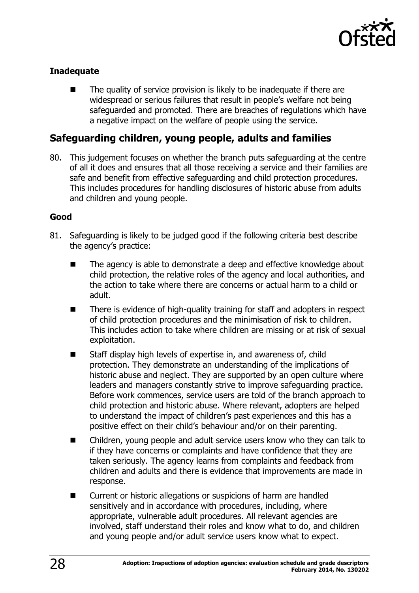

### **Inadequate**

 The quality of service provision is likely to be inadequate if there are widespread or serious failures that result in people's welfare not being safeguarded and promoted. There are breaches of regulations which have a negative impact on the welfare of people using the service.

### <span id="page-27-0"></span>**Safeguarding children, young people, adults and families**

80. This judgement focuses on whether the branch puts safeguarding at the centre of all it does and ensures that all those receiving a service and their families are safe and benefit from effective safeguarding and child protection procedures. This includes procedures for handling disclosures of historic abuse from adults and children and young people.

### **Good**

- 81. Safeguarding is likely to be judged good if the following criteria best describe the agency's practice:
	- The agency is able to demonstrate a deep and effective knowledge about child protection, the relative roles of the agency and local authorities, and the action to take where there are concerns or actual harm to a child or adult.
	- There is evidence of high-quality training for staff and adopters in respect of child protection procedures and the minimisation of risk to children. This includes action to take where children are missing or at risk of sexual exploitation.
	- Staff display high levels of expertise in, and awareness of, child protection. They demonstrate an understanding of the implications of historic abuse and neglect. They are supported by an open culture where leaders and managers constantly strive to improve safeguarding practice. Before work commences, service users are told of the branch approach to child protection and historic abuse. Where relevant, adopters are helped to understand the impact of children's past experiences and this has a positive effect on their child's behaviour and/or on their parenting.
	- Children, young people and adult service users know who they can talk to if they have concerns or complaints and have confidence that they are taken seriously. The agency learns from complaints and feedback from children and adults and there is evidence that improvements are made in response.
	- Current or historic allegations or suspicions of harm are handled sensitively and in accordance with procedures, including, where appropriate, vulnerable adult procedures. All relevant agencies are involved, staff understand their roles and know what to do, and children and young people and/or adult service users know what to expect.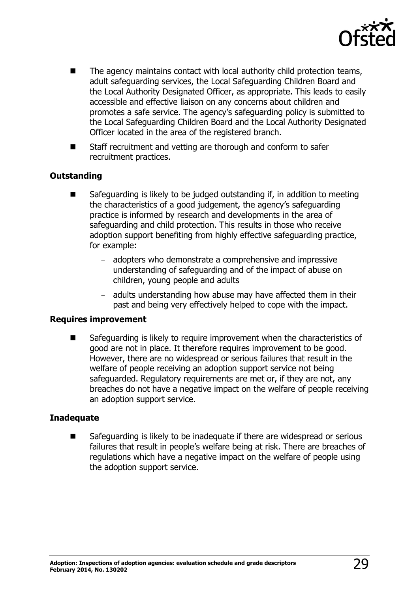

- The agency maintains contact with local authority child protection teams, adult safeguarding services, the Local Safeguarding Children Board and the Local Authority Designated Officer, as appropriate. This leads to easily accessible and effective liaison on any concerns about children and promotes a safe service. The agency's safeguarding policy is submitted to the Local Safeguarding Children Board and the Local Authority Designated Officer located in the area of the registered branch.
- Staff recruitment and vetting are thorough and conform to safer recruitment practices.

### **Outstanding**

- Safeguarding is likely to be judged outstanding if, in addition to meeting the characteristics of a good judgement, the agency's safeguarding practice is informed by research and developments in the area of safeguarding and child protection. This results in those who receive adoption support benefiting from highly effective safeguarding practice, for example:
	- adopters who demonstrate a comprehensive and impressive understanding of safeguarding and of the impact of abuse on children, young people and adults
	- adults understanding how abuse may have affected them in their past and being very effectively helped to cope with the impact.

#### **Requires improvement**

 Safeguarding is likely to require improvement when the characteristics of good are not in place. It therefore requires improvement to be good. However, there are no widespread or serious failures that result in the welfare of people receiving an adoption support service not being safeguarded. Regulatory requirements are met or, if they are not, any breaches do not have a negative impact on the welfare of people receiving an adoption support service.

### **Inadequate**

<span id="page-28-0"></span> Safeguarding is likely to be inadequate if there are widespread or serious failures that result in people's welfare being at risk. There are breaches of regulations which have a negative impact on the welfare of people using the adoption support service.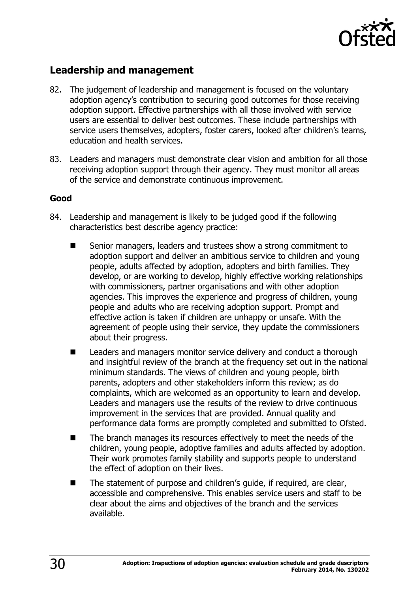

### **Leadership and management**

- 82. The judgement of leadership and management is focused on the voluntary adoption agency's contribution to securing good outcomes for those receiving adoption support. Effective partnerships with all those involved with service users are essential to deliver best outcomes. These include partnerships with service users themselves, adopters, foster carers, looked after children's teams, education and health services.
- 83. Leaders and managers must demonstrate clear vision and ambition for all those receiving adoption support through their agency. They must monitor all areas of the service and demonstrate continuous improvement.

### **Good**

- 84. Leadership and management is likely to be judged good if the following characteristics best describe agency practice:
	- Senior managers, leaders and trustees show a strong commitment to adoption support and deliver an ambitious service to children and young people, adults affected by adoption, adopters and birth families. They develop, or are working to develop, highly effective working relationships with commissioners, partner organisations and with other adoption agencies. This improves the experience and progress of children, young people and adults who are receiving adoption support. Prompt and effective action is taken if children are unhappy or unsafe. With the agreement of people using their service, they update the commissioners about their progress.
	- Leaders and managers monitor service delivery and conduct a thorough and insightful review of the branch at the frequency set out in the national minimum standards. The views of children and young people, birth parents, adopters and other stakeholders inform this review; as do complaints, which are welcomed as an opportunity to learn and develop. Leaders and managers use the results of the review to drive continuous improvement in the services that are provided. Annual quality and performance data forms are promptly completed and submitted to Ofsted.
	- The branch manages its resources effectively to meet the needs of the children, young people, adoptive families and adults affected by adoption. Their work promotes family stability and supports people to understand the effect of adoption on their lives.
	- The statement of purpose and children's quide, if required, are clear, accessible and comprehensive. This enables service users and staff to be clear about the aims and objectives of the branch and the services available.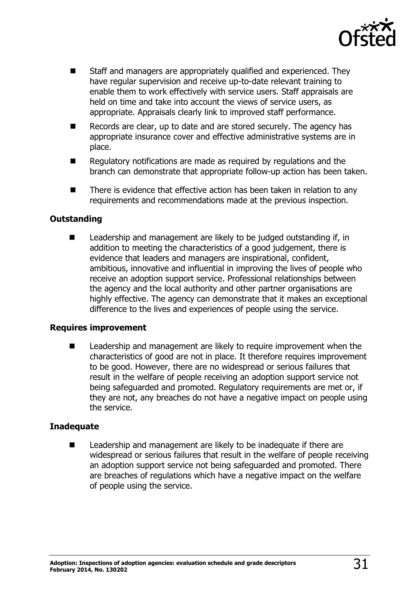

- Staff and managers are appropriately qualified and experienced. They have regular supervision and receive up-to-date relevant training to enable them to work effectively with service users. Staff appraisals are held on time and take into account the views of service users, as appropriate. Appraisals clearly link to improved staff performance.
- Records are clear, up to date and are stored securely. The agency has appropriate insurance cover and effective administrative systems are in place.
- Regulatory notifications are made as reguired by regulations and the branch can demonstrate that appropriate follow-up action has been taken.
- There is evidence that effective action has been taken in relation to any requirements and recommendations made at the previous inspection.

### **Outstanding**

 $\blacksquare$  Leadership and management are likely to be judged outstanding if, in addition to meeting the characteristics of a good judgement, there is evidence that leaders and managers are inspirational, confident, ambitious, innovative and influential in improving the lives of people who receive an adoption support service. Professional relationships between the agency and the local authority and other partner organisations are highly effective. The agency can demonstrate that it makes an exceptional difference to the lives and experiences of people using the service.

#### **Requires improvement**

 Leadership and management are likely to require improvement when the characteristics of good are not in place. It therefore requires improvement to be good. However, there are no widespread or serious failures that result in the welfare of people receiving an adoption support service not being safeguarded and promoted. Regulatory requirements are met or, if they are not, any breaches do not have a negative impact on people using the service.

#### **Inadequate**

<span id="page-30-0"></span> Leadership and management are likely to be inadequate if there are widespread or serious failures that result in the welfare of people receiving an adoption support service not being safeguarded and promoted. There are breaches of regulations which have a negative impact on the welfare of people using the service.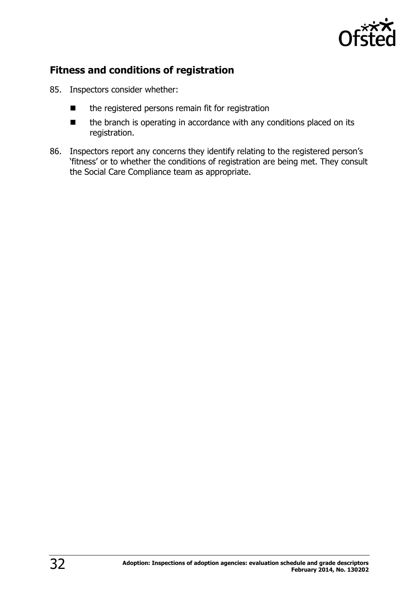

### **Fitness and conditions of registration**

- 85. Inspectors consider whether:
	- $\blacksquare$  the registered persons remain fit for registration
	- the branch is operating in accordance with any conditions placed on its registration.
- 86. Inspectors report any concerns they identify relating to the registered person's 'fitness' or to whether the conditions of registration are being met. They consult the Social Care Compliance team as appropriate.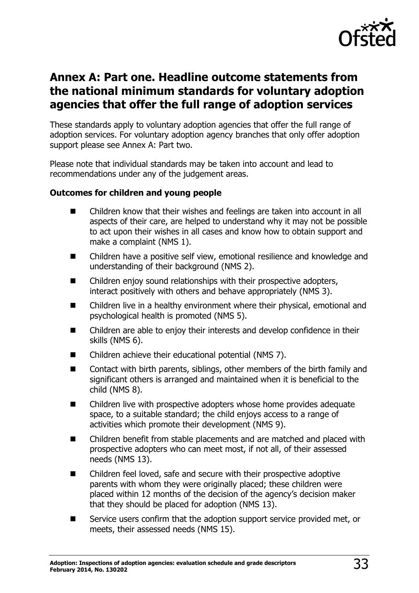

# <span id="page-32-1"></span><span id="page-32-0"></span>**Annex A: Part one. Headline outcome statements from the national minimum standards for voluntary adoption agencies that offer the full range of adoption services**

These standards apply to voluntary adoption agencies that offer the full range of adoption services. For voluntary adoption agency branches that only offer adoption support please see Annex A: Part two.

Please note that individual standards may be taken into account and lead to recommendations under any of the judgement areas.

### **Outcomes for children and young people**

- Children know that their wishes and feelings are taken into account in all aspects of their care, are helped to understand why it may not be possible to act upon their wishes in all cases and know how to obtain support and make a complaint (NMS 1).
- Children have a positive self view, emotional resilience and knowledge and understanding of their background (NMS 2).
- Children enjoy sound relationships with their prospective adopters, interact positively with others and behave appropriately (NMS 3).
- Children live in a healthy environment where their physical, emotional and psychological health is promoted (NMS 5).
- Children are able to enjoy their interests and develop confidence in their skills (NMS 6).
- Children achieve their educational potential (NMS 7).
- Contact with birth parents, siblings, other members of the birth family and significant others is arranged and maintained when it is beneficial to the child (NMS 8).
- Children live with prospective adopters whose home provides adequate space, to a suitable standard; the child enjoys access to a range of activities which promote their development (NMS 9).
- Children benefit from stable placements and are matched and placed with prospective adopters who can meet most, if not all, of their assessed needs (NMS 13).
- Children feel loved, safe and secure with their prospective adoptive parents with whom they were originally placed; these children were placed within 12 months of the decision of the agency's decision maker that they should be placed for adoption (NMS 13).
- Service users confirm that the adoption support service provided met, or meets, their assessed needs (NMS 15).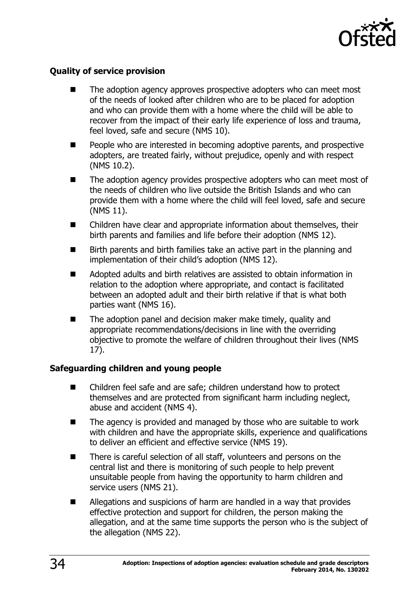

### **Quality of service provision**

- The adoption agency approves prospective adopters who can meet most of the needs of looked after children who are to be placed for adoption and who can provide them with a home where the child will be able to recover from the impact of their early life experience of loss and trauma, feel loved, safe and secure (NMS 10).
- People who are interested in becoming adoptive parents, and prospective adopters, are treated fairly, without prejudice, openly and with respect (NMS 10.2).
- $\blacksquare$  The adoption agency provides prospective adopters who can meet most of the needs of children who live outside the British Islands and who can provide them with a home where the child will feel loved, safe and secure (NMS 11).
- Children have clear and appropriate information about themselves, their birth parents and families and life before their adoption (NMS 12).
- Birth parents and birth families take an active part in the planning and implementation of their child's adoption (NMS 12).
- Adopted adults and birth relatives are assisted to obtain information in relation to the adoption where appropriate, and contact is facilitated between an adopted adult and their birth relative if that is what both parties want (NMS 16).
- The adoption panel and decision maker make timely, quality and appropriate recommendations/decisions in line with the overriding objective to promote the welfare of children throughout their lives (NMS 17).

### **Safeguarding children and young people**

- Children feel safe and are safe; children understand how to protect themselves and are protected from significant harm including neglect, abuse and accident (NMS 4).
- $\blacksquare$  The agency is provided and managed by those who are suitable to work with children and have the appropriate skills, experience and qualifications to deliver an efficient and effective service (NMS 19).
- There is careful selection of all staff, volunteers and persons on the central list and there is monitoring of such people to help prevent unsuitable people from having the opportunity to harm children and service users (NMS 21).
- Allegations and suspicions of harm are handled in a way that provides effective protection and support for children, the person making the allegation, and at the same time supports the person who is the subject of the allegation (NMS 22).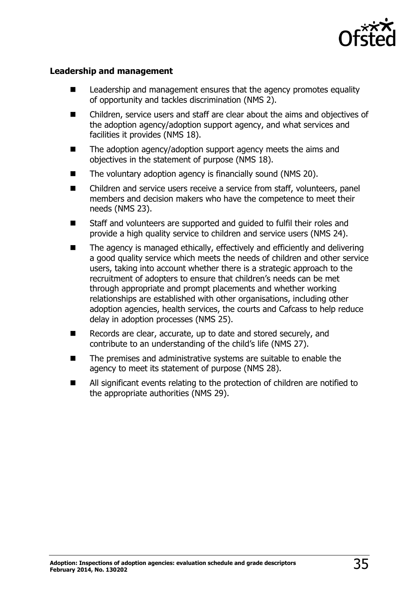

#### **Leadership and management**

- Leadership and management ensures that the agency promotes equality of opportunity and tackles discrimination (NMS 2).
- Children, service users and staff are clear about the aims and objectives of the adoption agency/adoption support agency, and what services and facilities it provides (NMS 18).
- $\blacksquare$  The adoption agency/adoption support agency meets the aims and objectives in the statement of purpose (NMS 18).
- The voluntary adoption agency is financially sound (NMS 20).
- Children and service users receive a service from staff, volunteers, panel members and decision makers who have the competence to meet their needs (NMS 23).
- Staff and volunteers are supported and guided to fulfil their roles and provide a high quality service to children and service users (NMS 24).
- The agency is managed ethically, effectively and efficiently and delivering a good quality service which meets the needs of children and other service users, taking into account whether there is a strategic approach to the recruitment of adopters to ensure that children's needs can be met through appropriate and prompt placements and whether working relationships are established with other organisations, including other adoption agencies, health services, the courts and Cafcass to help reduce delay in adoption processes (NMS 25).
- Records are clear, accurate, up to date and stored securely, and contribute to an understanding of the child's life (NMS 27).
- The premises and administrative systems are suitable to enable the agency to meet its statement of purpose (NMS 28).
- All significant events relating to the protection of children are notified to the appropriate authorities (NMS 29).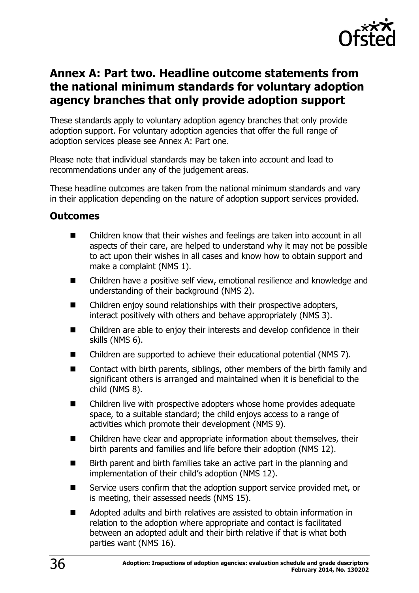

# <span id="page-35-1"></span><span id="page-35-0"></span>**Annex A: Part two. Headline outcome statements from the national minimum standards for voluntary adoption agency branches that only provide adoption support**

These standards apply to voluntary adoption agency branches that only provide adoption support. For voluntary adoption agencies that offer the full range of adoption services please see Annex A: Part one.

Please note that individual standards may be taken into account and lead to recommendations under any of the judgement areas.

These headline outcomes are taken from the national minimum standards and vary in their application depending on the nature of adoption support services provided.

### <span id="page-35-2"></span>**Outcomes**

- Children know that their wishes and feelings are taken into account in all aspects of their care, are helped to understand why it may not be possible to act upon their wishes in all cases and know how to obtain support and make a complaint (NMS 1).
- Children have a positive self view, emotional resilience and knowledge and understanding of their background (NMS 2).
- Children enjoy sound relationships with their prospective adopters, interact positively with others and behave appropriately (NMS 3).
- Children are able to enjoy their interests and develop confidence in their skills (NMS 6).
- Children are supported to achieve their educational potential (NMS 7).
- Contact with birth parents, siblings, other members of the birth family and significant others is arranged and maintained when it is beneficial to the child (NMS 8).
- Children live with prospective adopters whose home provides adequate space, to a suitable standard; the child enjoys access to a range of activities which promote their development (NMS 9).
- Children have clear and appropriate information about themselves, their birth parents and families and life before their adoption (NMS 12).
- Birth parent and birth families take an active part in the planning and implementation of their child's adoption (NMS 12).
- Service users confirm that the adoption support service provided met, or is meeting, their assessed needs (NMS 15).
- Adopted adults and birth relatives are assisted to obtain information in relation to the adoption where appropriate and contact is facilitated between an adopted adult and their birth relative if that is what both parties want (NMS 16).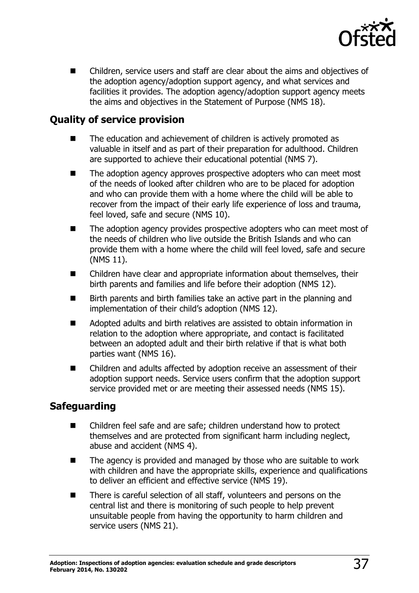

**EXTE:** Children, service users and staff are clear about the aims and objectives of the adoption agency/adoption support agency, and what services and facilities it provides. The adoption agency/adoption support agency meets the aims and objectives in the Statement of Purpose (NMS 18).

### <span id="page-36-0"></span>**Quality of service provision**

- The education and achievement of children is actively promoted as valuable in itself and as part of their preparation for adulthood. Children are supported to achieve their educational potential (NMS 7).
- The adoption agency approves prospective adopters who can meet most of the needs of looked after children who are to be placed for adoption and who can provide them with a home where the child will be able to recover from the impact of their early life experience of loss and trauma, feel loved, safe and secure (NMS 10).
- The adoption agency provides prospective adopters who can meet most of the needs of children who live outside the British Islands and who can provide them with a home where the child will feel loved, safe and secure (NMS 11).
- Children have clear and appropriate information about themselves, their birth parents and families and life before their adoption (NMS 12).
- Birth parents and birth families take an active part in the planning and implementation of their child's adoption (NMS 12).
- Adopted adults and birth relatives are assisted to obtain information in relation to the adoption where appropriate, and contact is facilitated between an adopted adult and their birth relative if that is what both parties want (NMS 16).
- Children and adults affected by adoption receive an assessment of their adoption support needs. Service users confirm that the adoption support service provided met or are meeting their assessed needs (NMS 15).

### <span id="page-36-1"></span>**Safeguarding**

- Children feel safe and are safe; children understand how to protect themselves and are protected from significant harm including neglect, abuse and accident (NMS 4).
- $\blacksquare$  The agency is provided and managed by those who are suitable to work with children and have the appropriate skills, experience and qualifications to deliver an efficient and effective service (NMS 19).
- There is careful selection of all staff, volunteers and persons on the central list and there is monitoring of such people to help prevent unsuitable people from having the opportunity to harm children and service users (NMS 21).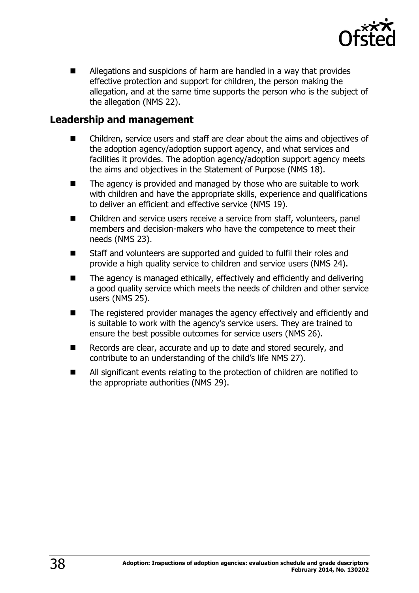

 Allegations and suspicions of harm are handled in a way that provides effective protection and support for children, the person making the allegation, and at the same time supports the person who is the subject of the allegation (NMS 22).

### <span id="page-37-0"></span>**Leadership and management**

- Children, service users and staff are clear about the aims and objectives of the adoption agency/adoption support agency, and what services and facilities it provides. The adoption agency/adoption support agency meets the aims and objectives in the Statement of Purpose (NMS 18).
- The agency is provided and managed by those who are suitable to work with children and have the appropriate skills, experience and qualifications to deliver an efficient and effective service (NMS 19).
- Children and service users receive a service from staff, volunteers, panel members and decision-makers who have the competence to meet their needs (NMS 23).
- Staff and volunteers are supported and quided to fulfil their roles and provide a high quality service to children and service users (NMS 24).
- The agency is managed ethically, effectively and efficiently and delivering a good quality service which meets the needs of children and other service users (NMS 25).
- The registered provider manages the agency effectively and efficiently and is suitable to work with the agency's service users. They are trained to ensure the best possible outcomes for service users (NMS 26).
- Records are clear, accurate and up to date and stored securely, and contribute to an understanding of the child's life NMS 27).
- All significant events relating to the protection of children are notified to the appropriate authorities (NMS 29).